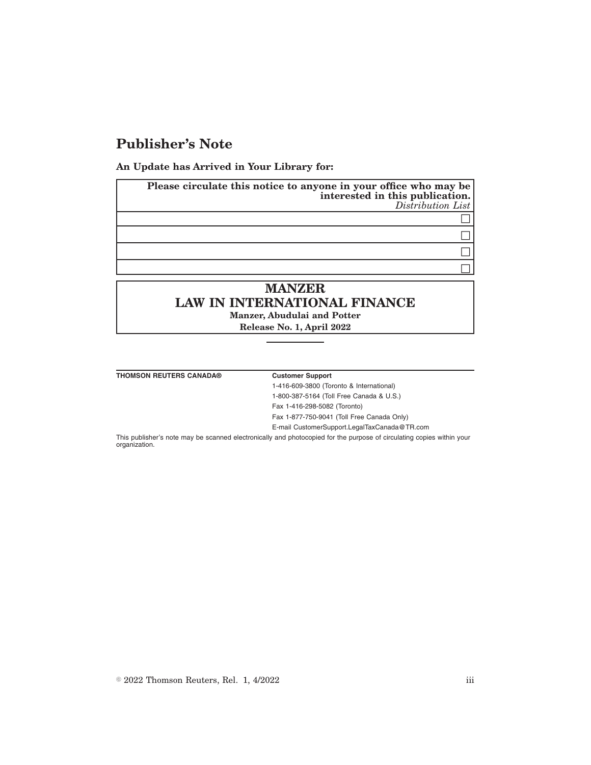## **Publisher's Note**

**An Update has Arrived in Your Library for:**

| Please circulate this notice to anyone in your office who may be<br>interested in this publication.<br>Distribution List |
|--------------------------------------------------------------------------------------------------------------------------|
|                                                                                                                          |
|                                                                                                                          |
|                                                                                                                          |
|                                                                                                                          |
| <b>MANZER</b>                                                                                                            |

# **LAW IN INTERNATIONAL FINANCE Manzer, Abudulai and Potter**

**Release No. 1, April 2022**

**THOMSON REUTERS CANADA® Customer Support**

1-416-609-3800 (Toronto & International)

1-800-387-5164 (Toll Free Canada & U.S.)

Fax 1-416-298-5082 (Toronto)

Fax 1-877-750-9041 (Toll Free Canada Only)

E-mail CustomerSupport.LegalTaxCanada@TR.com

This publisher's note may be scanned electronically and photocopied for the purpose of circulating copies within your organization.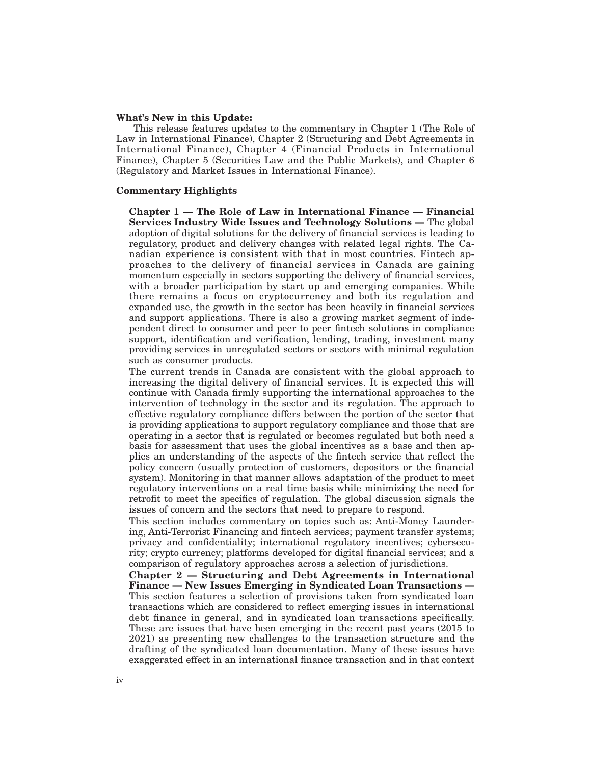#### **What's New in this Update:**

This release features updates to the commentary in Chapter 1 (The Role of Law in International Finance), Chapter 2 (Structuring and Debt Agreements in International Finance), Chapter 4 (Financial Products in International Finance), Chapter 5 (Securities Law and the Public Markets), and Chapter 6 (Regulatory and Market Issues in International Finance).

### **Commentary Highlights**

**Chapter 1 — The Role of Law in International Finance — Financial Services Industry Wide Issues and Technology Solutions —** The global adoption of digital solutions for the delivery of financial services is leading to regulatory, product and delivery changes with related legal rights. The Canadian experience is consistent with that in most countries. Fintech approaches to the delivery of financial services in Canada are gaining momentum especially in sectors supporting the delivery of financial services, with a broader participation by start up and emerging companies. While there remains a focus on cryptocurrency and both its regulation and expanded use, the growth in the sector has been heavily in financial services and support applications. There is also a growing market segment of independent direct to consumer and peer to peer fintech solutions in compliance support, identification and verification, lending, trading, investment many providing services in unregulated sectors or sectors with minimal regulation such as consumer products.

The current trends in Canada are consistent with the global approach to increasing the digital delivery of financial services. It is expected this will continue with Canada firmly supporting the international approaches to the intervention of technology in the sector and its regulation. The approach to effective regulatory compliance differs between the portion of the sector that is providing applications to support regulatory compliance and those that are operating in a sector that is regulated or becomes regulated but both need a basis for assessment that uses the global incentives as a base and then applies an understanding of the aspects of the fintech service that reflect the policy concern (usually protection of customers, depositors or the financial system). Monitoring in that manner allows adaptation of the product to meet regulatory interventions on a real time basis while minimizing the need for retrofit to meet the specifics of regulation. The global discussion signals the issues of concern and the sectors that need to prepare to respond.

This section includes commentary on topics such as: Anti-Money Laundering, Anti-Terrorist Financing and fintech services; payment transfer systems; privacy and confidentiality; international regulatory incentives; cybersecurity; crypto currency; platforms developed for digital financial services; and a comparison of regulatory approaches across a selection of jurisdictions.

**Chapter 2 — Structuring and Debt Agreements in International Finance — New Issues Emerging in Syndicated Loan Transactions —** This section features a selection of provisions taken from syndicated loan transactions which are considered to reflect emerging issues in international debt finance in general, and in syndicated loan transactions specifically. These are issues that have been emerging in the recent past years (2015 to 2021) as presenting new challenges to the transaction structure and the drafting of the syndicated loan documentation. Many of these issues have exaggerated effect in an international finance transaction and in that context